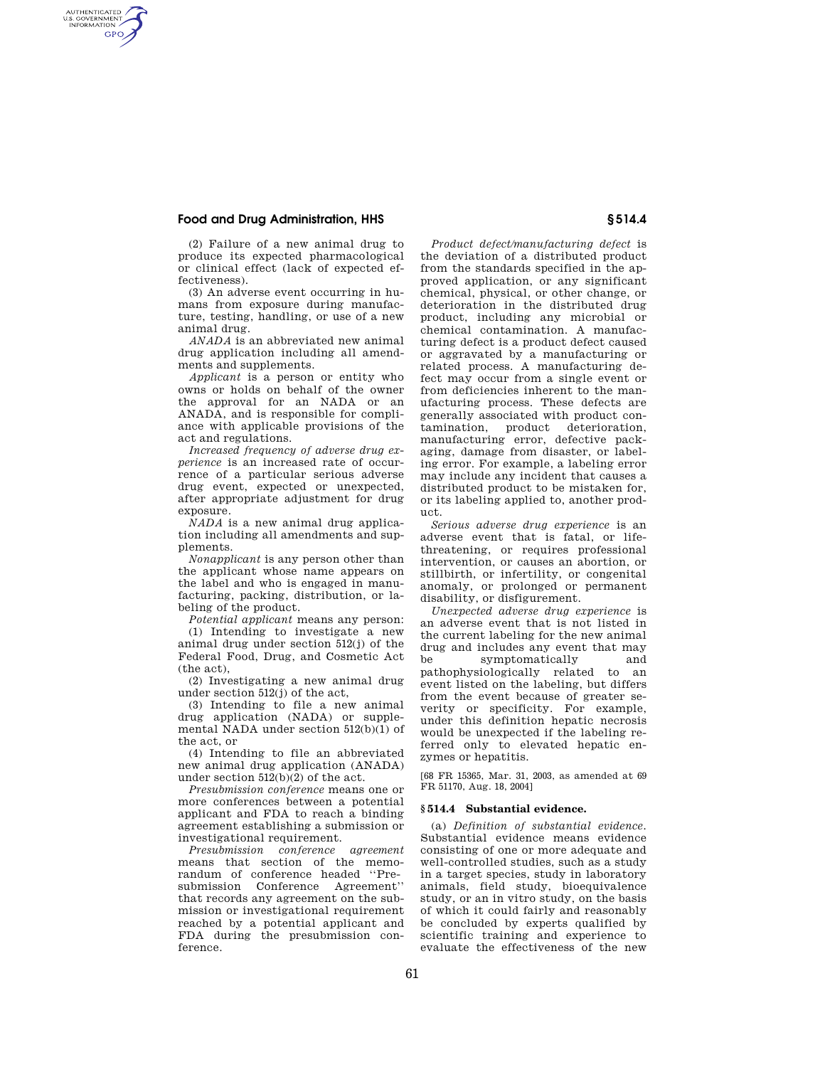## **Food and Drug Administration, HHS § 514.4**

AUTHENTICATED<br>U.S. GOVERNMENT<br>INFORMATION **GPO** 

(2) Failure of a new animal drug to produce its expected pharmacological or clinical effect (lack of expected effectiveness).

(3) An adverse event occurring in humans from exposure during manufacture, testing, handling, or use of a new animal drug.

*ANADA* is an abbreviated new animal drug application including all amendments and supplements.

*Applicant* is a person or entity who owns or holds on behalf of the owner the approval for an NADA or an ANADA, and is responsible for compliance with applicable provisions of the act and regulations.

*Increased frequency of adverse drug experience* is an increased rate of occurrence of a particular serious adverse drug event, expected or unexpected, after appropriate adjustment for drug exposure.

*NADA* is a new animal drug application including all amendments and supplements.

*Nonapplicant* is any person other than the applicant whose name appears on the label and who is engaged in manufacturing, packing, distribution, or labeling of the product.

*Potential applicant* means any person:

(1) Intending to investigate a new animal drug under section 512(j) of the Federal Food, Drug, and Cosmetic Act (the act),

(2) Investigating a new animal drug under section 512(j) of the act,

(3) Intending to file a new animal drug application (NADA) or supplemental NADA under section 512(b)(1) of the act, or

(4) Intending to file an abbreviated new animal drug application (ANADA) under section 512(b)(2) of the act.

*Presubmission conference* means one or more conferences between a potential applicant and FDA to reach a binding agreement establishing a submission or investigational requirement.

*Presubmission conference agreement*  means that section of the memorandum of conference headed ''Presubmission Conference Agreement'' that records any agreement on the submission or investigational requirement reached by a potential applicant and FDA during the presubmission conference.

*Product defect/manufacturing defect* is the deviation of a distributed product from the standards specified in the approved application, or any significant chemical, physical, or other change, or deterioration in the distributed drug product, including any microbial or chemical contamination. A manufacturing defect is a product defect caused or aggravated by a manufacturing or related process. A manufacturing defect may occur from a single event or from deficiencies inherent to the manufacturing process. These defects are generally associated with product contamination, product deterioration, manufacturing error, defective packaging, damage from disaster, or labeling error. For example, a labeling error may include any incident that causes a distributed product to be mistaken for, or its labeling applied to, another product.

*Serious adverse drug experience* is an adverse event that is fatal, or lifethreatening, or requires professional intervention, or causes an abortion, or stillbirth, or infertility, or congenital anomaly, or prolonged or permanent disability, or disfigurement.

*Unexpected adverse drug experience* is an adverse event that is not listed in the current labeling for the new animal drug and includes any event that may be symptomatically and pathophysiologically related to an event listed on the labeling, but differs from the event because of greater severity or specificity. For example, under this definition hepatic necrosis would be unexpected if the labeling referred only to elevated hepatic enzymes or hepatitis.

[68 FR 15365, Mar. 31, 2003, as amended at 69 FR 51170, Aug. 18, 2004]

### **§ 514.4 Substantial evidence.**

(a) *Definition of substantial evidence.*  Substantial evidence means evidence consisting of one or more adequate and well-controlled studies, such as a study in a target species, study in laboratory animals, field study, bioequivalence study, or an in vitro study, on the basis of which it could fairly and reasonably be concluded by experts qualified by scientific training and experience to evaluate the effectiveness of the new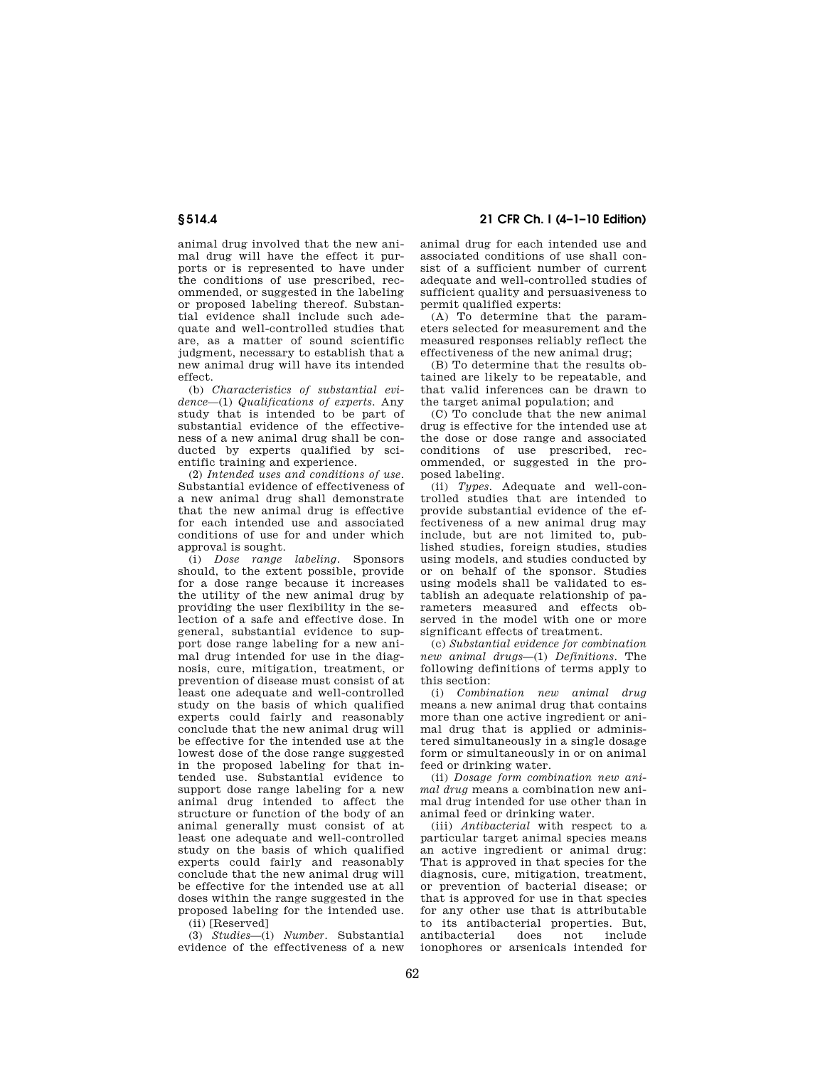# **§ 514.4 21 CFR Ch. I (4–1–10 Edition)**

animal drug involved that the new animal drug will have the effect it purports or is represented to have under the conditions of use prescribed, recommended, or suggested in the labeling or proposed labeling thereof. Substantial evidence shall include such adequate and well-controlled studies that are, as a matter of sound scientific judgment, necessary to establish that a new animal drug will have its intended effect.

(b) *Characteristics of substantial evidence*—(1) *Qualifications of experts.* Any study that is intended to be part of substantial evidence of the effectiveness of a new animal drug shall be conducted by experts qualified by scientific training and experience.

(2) *Intended uses and conditions of use.*  Substantial evidence of effectiveness of a new animal drug shall demonstrate that the new animal drug is effective for each intended use and associated conditions of use for and under which approval is sought.

(i) *Dose range labeling.* Sponsors should, to the extent possible, provide for a dose range because it increases the utility of the new animal drug by providing the user flexibility in the selection of a safe and effective dose. In general, substantial evidence to support dose range labeling for a new animal drug intended for use in the diagnosis, cure, mitigation, treatment, or prevention of disease must consist of at least one adequate and well-controlled study on the basis of which qualified experts could fairly and reasonably conclude that the new animal drug will be effective for the intended use at the lowest dose of the dose range suggested in the proposed labeling for that intended use. Substantial evidence to support dose range labeling for a new animal drug intended to affect the structure or function of the body of an animal generally must consist of at least one adequate and well-controlled study on the basis of which qualified experts could fairly and reasonably conclude that the new animal drug will be effective for the intended use at all doses within the range suggested in the proposed labeling for the intended use. (ii) [Reserved]

(3) *Studies*—(i) *Number.* Substantial evidence of the effectiveness of a new animal drug for each intended use and associated conditions of use shall consist of a sufficient number of current adequate and well-controlled studies of sufficient quality and persuasiveness to permit qualified experts:

(A) To determine that the parameters selected for measurement and the measured responses reliably reflect the effectiveness of the new animal drug;

(B) To determine that the results obtained are likely to be repeatable, and that valid inferences can be drawn to the target animal population; and

(C) To conclude that the new animal drug is effective for the intended use at the dose or dose range and associated conditions of use prescribed, recommended, or suggested in the proposed labeling.

(ii) *Types.* Adequate and well-controlled studies that are intended to provide substantial evidence of the effectiveness of a new animal drug may include, but are not limited to, published studies, foreign studies, studies using models, and studies conducted by or on behalf of the sponsor. Studies using models shall be validated to establish an adequate relationship of parameters measured and effects observed in the model with one or more significant effects of treatment.

(c) *Substantial evidence for combination new animal drugs*—(1) *Definitions*. The following definitions of terms apply to this section:

(i) *Combination new animal drug*  means a new animal drug that contains more than one active ingredient or animal drug that is applied or administered simultaneously in a single dosage form or simultaneously in or on animal feed or drinking water.

(ii) *Dosage form combination new animal drug* means a combination new animal drug intended for use other than in animal feed or drinking water.

(iii) *Antibacterial* with respect to a particular target animal species means an active ingredient or animal drug: That is approved in that species for the diagnosis, cure, mitigation, treatment, or prevention of bacterial disease; or that is approved for use in that species for any other use that is attributable to its antibacterial properties. But, antibacterial does not include ionophores or arsenicals intended for